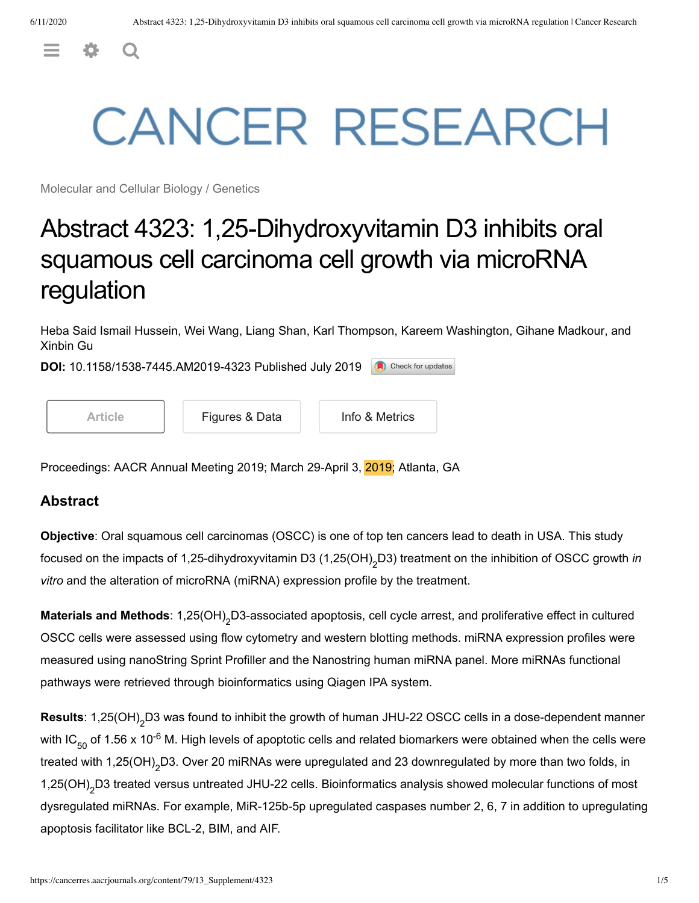<span id="page-0-0"></span> $\equiv$   $\phi$  Q

# **CANCER RESEARCH**

Molecular and Cellular Biology / Genetics

## Abstract 4323: 1,25-Dihydroxyvitamin D3 inhibits oral squamous cell carcinoma cell growth via microRNA regulation

Heba Said Ismail Hussein, Wei Wang, Liang Shan, Karl Thompson, Kareem Washington, Gihane Madkour, and Xinbin Gu

**DOI:** 10.1158/1538-7445.AM2019-4323 Published July 2019 Check for updates

[Article](https://cancerres.aacrjournals.org/content/79/13_Supplement/4323) | [Figures & Data](https://cancerres.aacrjournals.org/content/79/13_Supplement/4323.figures-only) | [Info & Metrics](https://cancerres.aacrjournals.org/content/79/13_Supplement/4323.article-info)

Proceedings: AACR Annual Meeting 2019; March 29-April 3, 2019; Atlanta, GA

#### **Abstract**

**Objective**: Oral squamous cell carcinomas (OSCC) is one of top ten cancers lead to death in USA. This study focused on the impacts of 1,25-dihydroxyvitamin D3 (1,25(OH)<sub>2</sub>D3) treatment on the inhibition of OSCC growth *in vitro* and the alteration of microRNA (miRNA) expression profile by the treatment.

Materials and Methods: 1,25(OH)<sub>2</sub>D3-associated apoptosis, cell cycle arrest, and proliferative effect in cultured OSCC cells were assessed using flow cytometry and western blotting methods. miRNA expression profiles were measured using nanoString Sprint Profiller and the Nanostring human miRNA panel. More miRNAs functional pathways were retrieved through bioinformatics using Qiagen IPA system.

Results: 1,25(OH)<sub>2</sub>D3 was found to inhibit the growth of human JHU-22 OSCC cells in a dose-dependent manner with IC $_{50}$  of 1.56 x 10<sup>-6</sup> M. High levels of apoptotic cells and related biomarkers were obtained when the cells were treated with 1,25(OH)<sub>2</sub>D3. Over 20 miRNAs were upregulated and 23 downregulated by more than two folds, in 1,25(OH)<sub>2</sub>D3 treated versus untreated JHU-22 cells. Bioinformatics analysis showed molecular functions of most dysregulated miRNAs. For example, MiR-125b-5p upregulated caspases number 2, 6, 7 in addition to upregulating apoptosis facilitator like BCL-2, BIM, and AIF. -6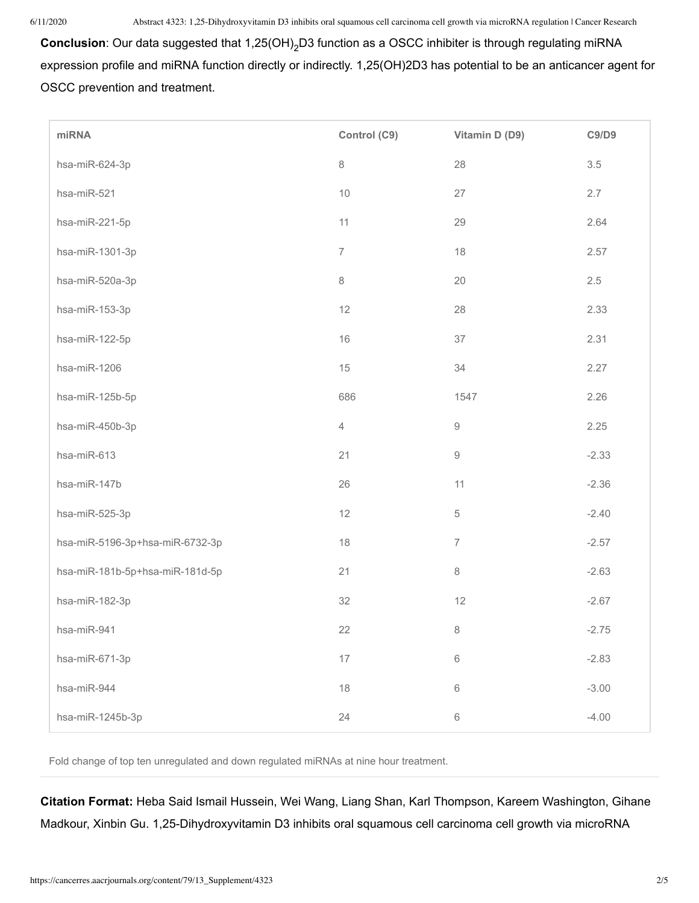**Conclusion**: Our data suggested that 1,25(OH)<sub>2</sub>D3 function as a OSCC inhibiter is through regulating miRNA expression profile and miRNA function directly or indirectly. 1,25(OH)2D3 has potential to be an anticancer agent for OSCC prevention and treatment.

| miRNA                           | Control (C9)   | Vitamin D (D9)                                            | C9/D9   |
|---------------------------------|----------------|-----------------------------------------------------------|---------|
| hsa-miR-624-3p                  | $\,8\,$        | 28                                                        | $3.5\,$ |
| hsa-miR-521                     | $10$           | 27                                                        | 2.7     |
| hsa-miR-221-5p                  | 11             | 29                                                        | 2.64    |
| hsa-miR-1301-3p                 | $\overline{7}$ | 18                                                        | 2.57    |
| hsa-miR-520a-3p                 | $\,8\,$        | 20                                                        | 2.5     |
| hsa-miR-153-3p                  | 12             | 28                                                        | 2.33    |
| hsa-miR-122-5p                  | 16             | 37                                                        | 2.31    |
| hsa-miR-1206                    | 15             | 34                                                        | 2.27    |
| hsa-miR-125b-5p                 | 686            | 1547                                                      | 2.26    |
| hsa-miR-450b-3p                 | $\overline{4}$ | $\mathcal{G}% _{M_{1},M_{2}}^{\alpha,\beta}(\mathcal{G})$ | 2.25    |
| hsa-miR-613                     | 21             | $\hbox{9}$                                                | $-2.33$ |
| hsa-miR-147b                    | 26             | 11                                                        | $-2.36$ |
| hsa-miR-525-3p                  | 12             | $\,$ 5 $\,$                                               | $-2.40$ |
| hsa-miR-5196-3p+hsa-miR-6732-3p | 18             | $\overline{7}$                                            | $-2.57$ |
| hsa-miR-181b-5p+hsa-miR-181d-5p | 21             | $\,8\,$                                                   | $-2.63$ |
| hsa-miR-182-3p                  | 32             | 12                                                        | $-2.67$ |
| hsa-miR-941                     | 22             | $\,8\,$                                                   | $-2.75$ |
| hsa-miR-671-3p                  | 17             | $\,$ $\,$ $\,$                                            | $-2.83$ |
| hsa-miR-944                     | $18$           | $\,6\,$                                                   | $-3.00$ |
| hsa-miR-1245b-3p                | 24             | $\,$ 6 $\,$                                               | $-4.00$ |

Fold change of top ten unregulated and down regulated miRNAs at nine hour treatment.

**Citation Format:** Heba Said Ismail Hussein, Wei Wang, Liang Shan, Karl Thompson, Kareem Washington, Gihane Madkour, Xinbin Gu. 1,25-Dihydroxyvitamin D3 inhibits oral squamous cell carcinoma cell growth via microRNA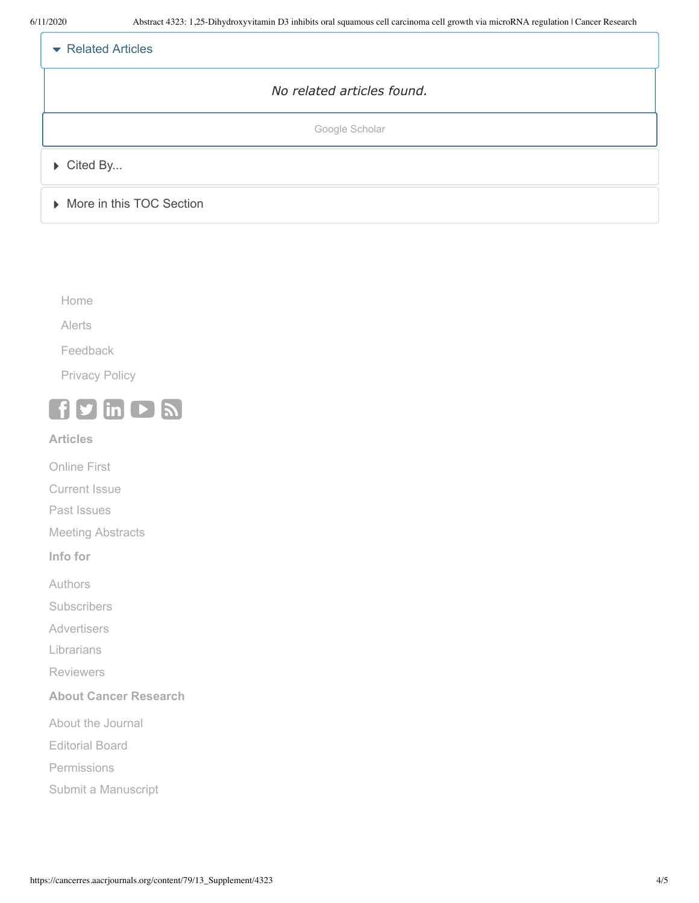| $\blacktriangleright$ Related Articles |
|----------------------------------------|
| No related articles found.             |
| Google Scholar                         |
| $\triangleright$ Cited By              |
| More in this TOC Section               |

[Home](https://cancerres.aacrjournals.org/)

[Alerts](https://cancerres.aacrjournals.org/alerts)

[Feedback](https://cancerres.aacrjournals.org/feedback)

[Privacy Policy](http://aacrjournals.org/privacy-policy)



**Articles**

[Online First](https://cancerres.aacrjournals.org/content/early/recent)

[Current Issue](https://cancerres.aacrjournals.org/content/current)

[Past Issues](https://cancerres.aacrjournals.org/content/by/year)

[Meeting Abstracts](http://www.aacrjournals.org/site/Meetings/meeting_abs.xhtml)

**Info for**

[Authors](https://cancerres.aacrjournals.org/site/misc/journal_ifora.xhtml)

**[Subscribers](http://www.aacrjournals.org/subscribers/info)** 

**[Advertisers](http://www.aacrjournals.org/site/Info/Advertising.xhtml)** 

[Librarians](http://www.aacrjournals.org/subscribers/institutions-librarians)

[Reviewers](http://www.aacrjournals.org/site/Info/Reviewers.xhtml)

#### **About Cancer Research**

[About the Journal](https://cancerres.aacrjournals.org/about)

[Editorial Board](https://cancerres.aacrjournals.org/edboard)

[Permissions](http://www.aacrjournals.org/content/3rd-party-permissions)

[Submit a Manuscript](http://can.msubmit.net/)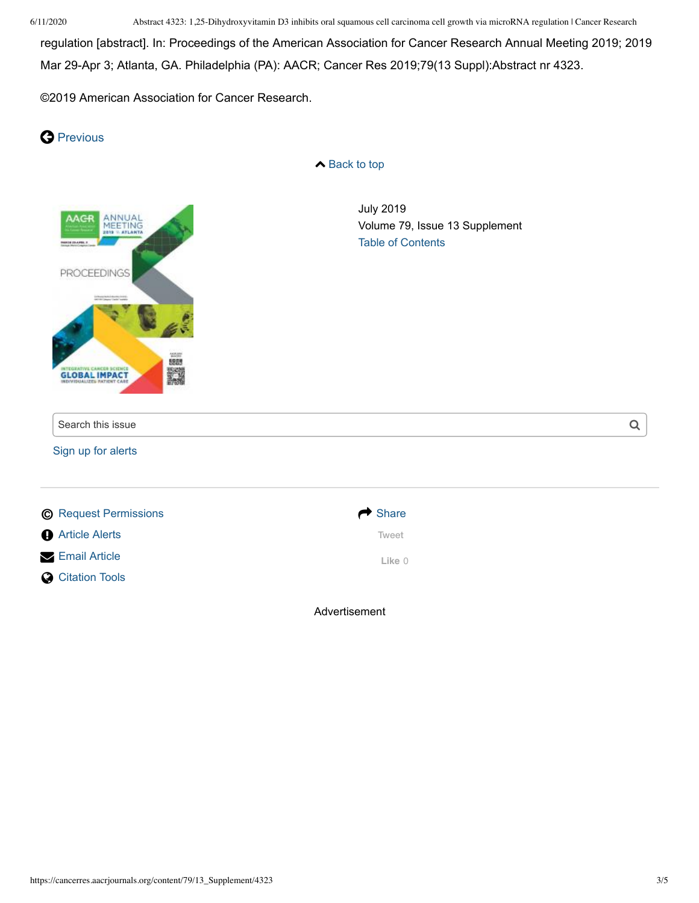6/11/2020 Abstract 4323: 1,25-Dihydroxyvitamin D3 inhibits oral squamous cell carcinoma cell growth via microRNA regulation | Cancer Research

regulation [abstract]. In: Proceedings of the American Association for Cancer Research Annual Meeting 2019; 2019 Mar 29-Apr 3; Atlanta, GA. Philadelphia (PA): AACR; Cancer Res 2019;79(13 Suppl):Abstract nr 4323.

©2019 American Association for Cancer Research.

### **O** [Previous](https://cancerres.aacrjournals.org/content/79/13/3525)

**▲ [Back](#page-0-0) to top** 



Advertisement